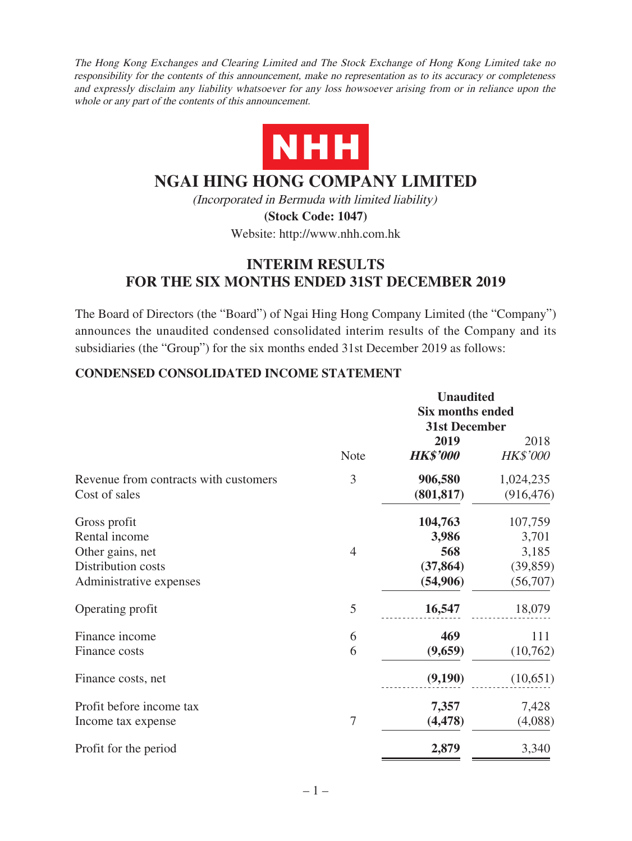The Hong Kong Exchanges and Clearing Limited and The Stock Exchange of Hong Kong Limited take no responsibility for the contents of this announcement, make no representation as to its accuracy or completeness and expressly disclaim any liability whatsoever for any loss howsoever arising from or in reliance upon the whole or any part of the contents of this announcement.



# **NGAI HING HONG COMPANY LIMITED**

(Incorporated in Bermuda with limited liability) **(Stock Code: 1047)**

Website: http://www.nhh.com.hk

# **INTERIM RESULTS FOR THE SIX MONTHS ENDED 31ST DECEMBER 2019**

The Board of Directors (the "Board") of Ngai Hing Hong Company Limited (the "Company") announces the unaudited condensed consolidated interim results of the Company and its subsidiaries (the "Group") for the six months ended 31st December 2019 as follows:

### **CONDENSED CONSOLIDATED INCOME STATEMENT**

|                                       |                | <b>Unaudited</b>                                |                 |  |
|---------------------------------------|----------------|-------------------------------------------------|-----------------|--|
|                                       |                | <b>Six months ended</b><br><b>31st December</b> |                 |  |
|                                       |                |                                                 |                 |  |
|                                       |                | 2019                                            | 2018            |  |
|                                       | <b>Note</b>    | <b>HK\$'000</b>                                 | <b>HK\$'000</b> |  |
| Revenue from contracts with customers | 3              | 906,580                                         | 1,024,235       |  |
| Cost of sales                         |                | (801, 817)                                      | (916, 476)      |  |
| Gross profit                          |                | 104,763                                         | 107,759         |  |
| Rental income                         |                | 3,986                                           | 3,701           |  |
| Other gains, net                      | $\overline{4}$ | 568                                             | 3,185           |  |
| Distribution costs                    |                | (37, 864)                                       | (39, 859)       |  |
| Administrative expenses               |                | (54,906)                                        | (56,707)        |  |
| Operating profit                      | 5              | 16,547                                          | 18,079          |  |
| Finance income                        | 6              | 469                                             | 111             |  |
| Finance costs                         | 6              | (9,659)                                         | (10,762)        |  |
| Finance costs, net                    |                | (9,190)                                         | (10,651)        |  |
| Profit before income tax              |                | 7,357                                           | 7,428           |  |
| Income tax expense                    | $\overline{7}$ | (4, 478)                                        | (4,088)         |  |
| Profit for the period                 |                | 2,879                                           | 3,340           |  |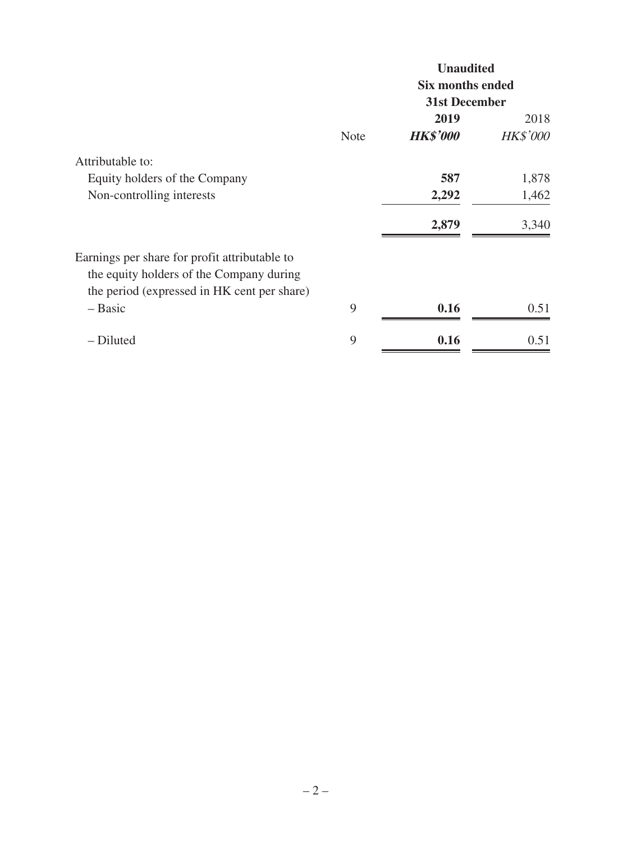|                                                                                                                                          |             | <b>Unaudited</b>                                |                 |  |
|------------------------------------------------------------------------------------------------------------------------------------------|-------------|-------------------------------------------------|-----------------|--|
|                                                                                                                                          |             | <b>Six months ended</b><br><b>31st December</b> |                 |  |
|                                                                                                                                          |             |                                                 |                 |  |
|                                                                                                                                          |             | 2019                                            | 2018            |  |
|                                                                                                                                          | <b>Note</b> | <b>HK\$'000</b>                                 | <b>HK\$'000</b> |  |
| Attributable to:                                                                                                                         |             |                                                 |                 |  |
| Equity holders of the Company                                                                                                            |             | 587                                             | 1,878           |  |
| Non-controlling interests                                                                                                                |             | 2,292                                           | 1,462           |  |
|                                                                                                                                          |             | 2,879                                           | 3,340           |  |
| Earnings per share for profit attributable to<br>the equity holders of the Company during<br>the period (expressed in HK cent per share) |             |                                                 |                 |  |
| $-$ Basic                                                                                                                                | 9           | 0.16                                            | 0.51            |  |
| - Diluted                                                                                                                                | 9           | 0.16                                            | 0.51            |  |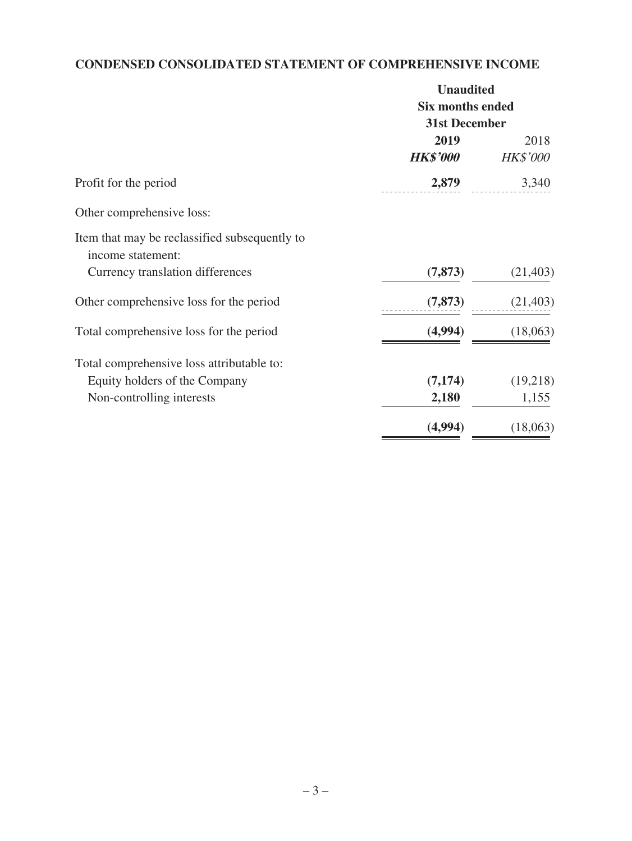# **CONDENSED CONSOLIDATED STATEMENT OF COMPREHENSIVE INCOME**

|                                               | <b>Unaudited</b><br><b>Six months ended</b><br><b>31st December</b> |                 |  |
|-----------------------------------------------|---------------------------------------------------------------------|-----------------|--|
|                                               |                                                                     |                 |  |
|                                               |                                                                     |                 |  |
|                                               | 2019                                                                | 2018            |  |
|                                               | <b>HK\$'000</b>                                                     | <b>HK\$'000</b> |  |
| Profit for the period                         | 2,879                                                               | 3,340           |  |
| Other comprehensive loss:                     |                                                                     |                 |  |
| Item that may be reclassified subsequently to |                                                                     |                 |  |
| income statement:                             |                                                                     |                 |  |
| Currency translation differences              | (7, 873)                                                            | (21, 403)       |  |
| Other comprehensive loss for the period       | (7, 873)                                                            | (21, 403)       |  |
| Total comprehensive loss for the period       | (4,994)                                                             | (18,063)        |  |
| Total comprehensive loss attributable to:     |                                                                     |                 |  |
| Equity holders of the Company                 | (7, 174)                                                            | (19,218)        |  |
| Non-controlling interests                     | 2,180                                                               | 1,155           |  |
|                                               | (4,994)                                                             | (18,063)        |  |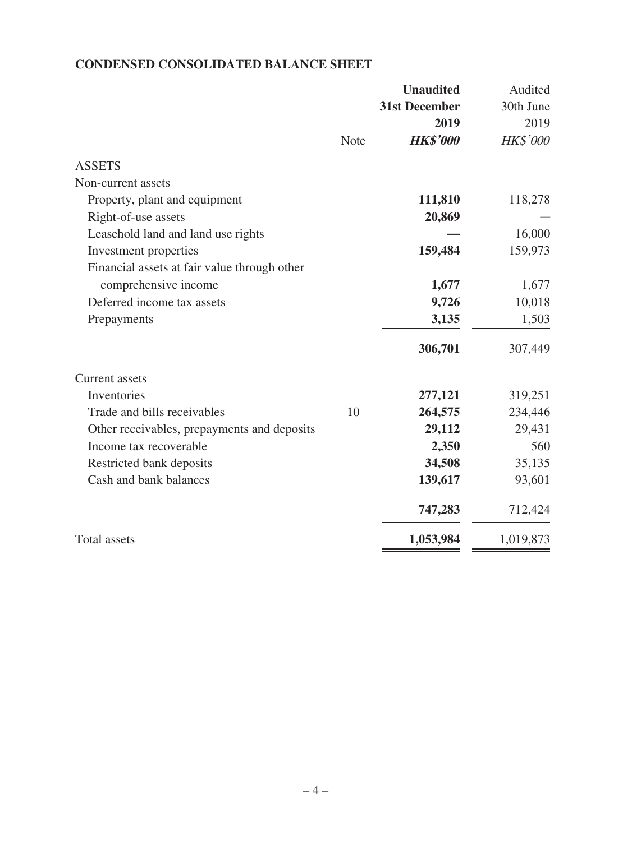# **CONDENSED CONSOLIDATED BALANCE SHEET**

|                                              |             | <b>Unaudited</b>     | Audited   |
|----------------------------------------------|-------------|----------------------|-----------|
|                                              |             | <b>31st December</b> | 30th June |
|                                              |             | 2019                 | 2019      |
|                                              | <b>Note</b> | <b>HK\$'000</b>      | HK\$'000  |
| <b>ASSETS</b>                                |             |                      |           |
| Non-current assets                           |             |                      |           |
| Property, plant and equipment                |             | 111,810              | 118,278   |
| Right-of-use assets                          |             | 20,869               |           |
| Leasehold land and land use rights           |             |                      | 16,000    |
| Investment properties                        |             | 159,484              | 159,973   |
| Financial assets at fair value through other |             |                      |           |
| comprehensive income                         |             | 1,677                | 1,677     |
| Deferred income tax assets                   |             | 9,726                | 10,018    |
| Prepayments                                  |             | 3,135                | 1,503     |
|                                              |             | 306,701              | 307,449   |
| <b>Current</b> assets                        |             |                      |           |
| Inventories                                  |             | 277,121              | 319,251   |
| Trade and bills receivables                  | 10          | 264,575              | 234,446   |
| Other receivables, prepayments and deposits  |             | 29,112               | 29,431    |
| Income tax recoverable                       |             | 2,350                | 560       |
| Restricted bank deposits                     |             | 34,508               | 35,135    |
| Cash and bank balances                       |             | 139,617              | 93,601    |
|                                              |             | 747,283              | 712,424   |
| <b>Total assets</b>                          |             | 1,053,984            | 1,019,873 |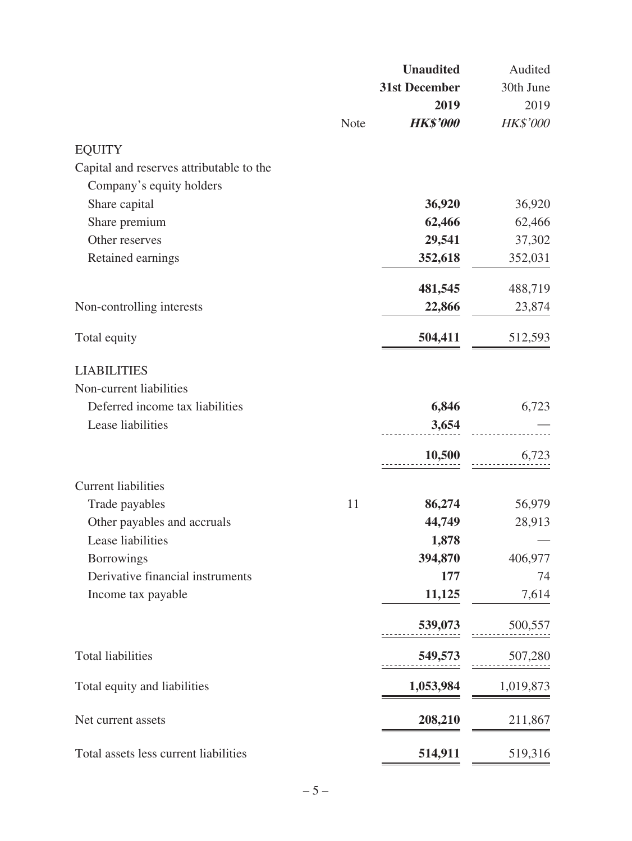|                                          |             | <b>Unaudited</b>     | Audited   |
|------------------------------------------|-------------|----------------------|-----------|
|                                          |             | <b>31st December</b> | 30th June |
|                                          |             | 2019                 | 2019      |
|                                          | <b>Note</b> | <b>HK\$'000</b>      | HK\$'000  |
| <b>EQUITY</b>                            |             |                      |           |
| Capital and reserves attributable to the |             |                      |           |
| Company's equity holders                 |             |                      |           |
| Share capital                            |             | 36,920               | 36,920    |
| Share premium                            |             | 62,466               | 62,466    |
| Other reserves                           |             | 29,541               | 37,302    |
| Retained earnings                        |             | 352,618              | 352,031   |
|                                          |             | 481,545              | 488,719   |
| Non-controlling interests                |             | 22,866               | 23,874    |
| Total equity                             |             | 504,411              | 512,593   |
| <b>LIABILITIES</b>                       |             |                      |           |
| Non-current liabilities                  |             |                      |           |
| Deferred income tax liabilities          |             | 6,846                | 6,723     |
| Lease liabilities                        |             | 3,654                |           |
|                                          |             | 10,500               | 6,723     |
| <b>Current liabilities</b>               |             |                      |           |
| Trade payables                           | 11          | 86,274               | 56,979    |
| Other payables and accruals              |             | 44,749               | 28,913    |
| Lease liabilities                        |             | 1,878                |           |
| <b>Borrowings</b>                        |             | 394,870              | 406,977   |
| Derivative financial instruments         |             | 177                  | 74        |
| Income tax payable                       |             | 11,125               | 7,614     |
|                                          |             | 539,073              | 500,557   |
| <b>Total liabilities</b>                 |             | 549,573              | 507,280   |
| Total equity and liabilities             |             | 1,053,984            | 1,019,873 |
|                                          |             |                      |           |
| Net current assets                       |             | 208,210              | 211,867   |
| Total assets less current liabilities    |             | 514,911              | 519,316   |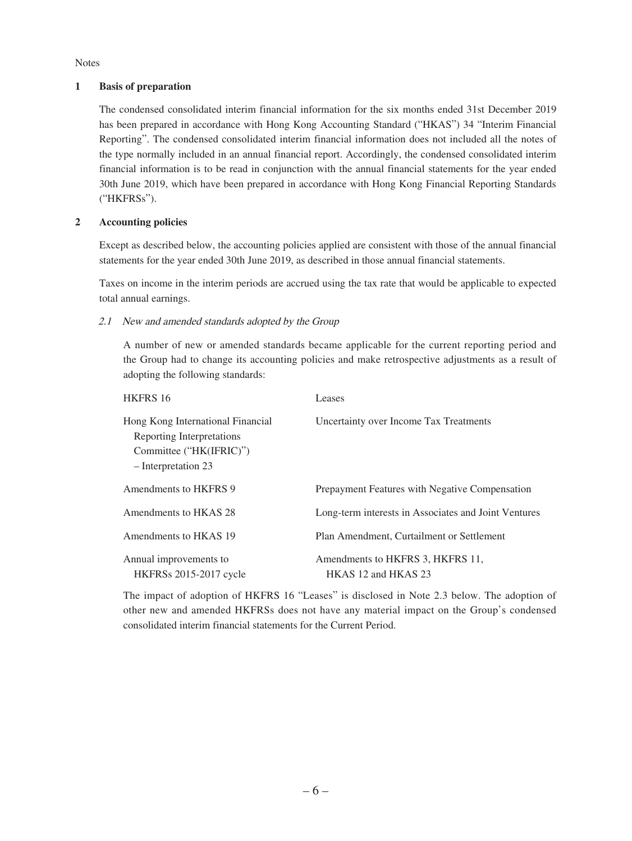Notes

#### **1 Basis of preparation**

The condensed consolidated interim financial information for the six months ended 31st December 2019 has been prepared in accordance with Hong Kong Accounting Standard ("HKAS") 34 "Interim Financial Reporting". The condensed consolidated interim financial information does not included all the notes of the type normally included in an annual financial report. Accordingly, the condensed consolidated interim financial information is to be read in conjunction with the annual financial statements for the year ended 30th June 2019, which have been prepared in accordance with Hong Kong Financial Reporting Standards ("HKFRSs").

#### **2 Accounting policies**

Except as described below, the accounting policies applied are consistent with those of the annual financial statements for the year ended 30th June 2019, as described in those annual financial statements.

Taxes on income in the interim periods are accrued using the tax rate that would be applicable to expected total annual earnings.

2.1 New and amended standards adopted by the Group

A number of new or amended standards became applicable for the current reporting period and the Group had to change its accounting policies and make retrospective adjustments as a result of adopting the following standards:

| HKFRS 16                                                                                                         | Leases                                                  |
|------------------------------------------------------------------------------------------------------------------|---------------------------------------------------------|
| Hong Kong International Financial<br>Reporting Interpretations<br>Committee ("HK(IFRIC)")<br>- Interpretation 23 | Uncertainty over Income Tax Treatments                  |
| Amendments to HKFRS 9                                                                                            | Prepayment Features with Negative Compensation          |
| Amendments to HKAS 28                                                                                            | Long-term interests in Associates and Joint Ventures    |
| Amendments to HKAS 19                                                                                            | Plan Amendment, Curtailment or Settlement               |
| Annual improvements to<br><b>HKFRSs</b> 2015-2017 cycle                                                          | Amendments to HKFRS 3, HKFRS 11,<br>HKAS 12 and HKAS 23 |

The impact of adoption of HKFRS 16 "Leases" is disclosed in Note 2.3 below. The adoption of other new and amended HKFRSs does not have any material impact on the Group's condensed consolidated interim financial statements for the Current Period.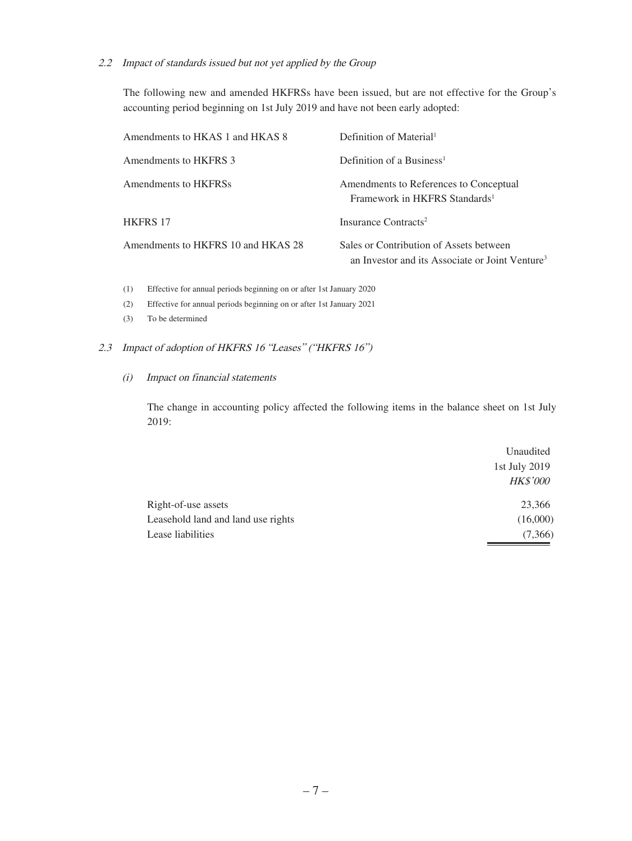#### 2.2 Impact of standards issued but not yet applied by the Group

The following new and amended HKFRSs have been issued, but are not effective for the Group's accounting period beginning on 1st July 2019 and have not been early adopted:

| Amendments to HKAS 1 and HKAS 8    | Definition of Material <sup>1</sup>                                                                    |
|------------------------------------|--------------------------------------------------------------------------------------------------------|
| Amendments to HKFRS 3              | Definition of a Business <sup>1</sup>                                                                  |
| Amendments to HKFRSs               | Amendments to References to Conceptual<br>Framework in HKFRS Standards <sup>1</sup>                    |
| <b>HKFRS 17</b>                    | Insurance Contracts <sup>2</sup>                                                                       |
| Amendments to HKFRS 10 and HKAS 28 | Sales or Contribution of Assets between<br>an Investor and its Associate or Joint Venture <sup>3</sup> |

(1) Effective for annual periods beginning on or after 1st January 2020

- (2) Effective for annual periods beginning on or after 1st January 2021
- (3) To be determined

#### 2.3 Impact of adoption of HKFRS 16 "Leases" ("HKFRS 16")

#### (i) Impact on financial statements

The change in accounting policy affected the following items in the balance sheet on 1st July 2019:

|                                    | Unaudited       |  |
|------------------------------------|-----------------|--|
|                                    | 1st July 2019   |  |
|                                    | <b>HK\$'000</b> |  |
| Right-of-use assets                | 23,366          |  |
| Leasehold land and land use rights | (16,000)        |  |
| Lease liabilities                  | (7,366)         |  |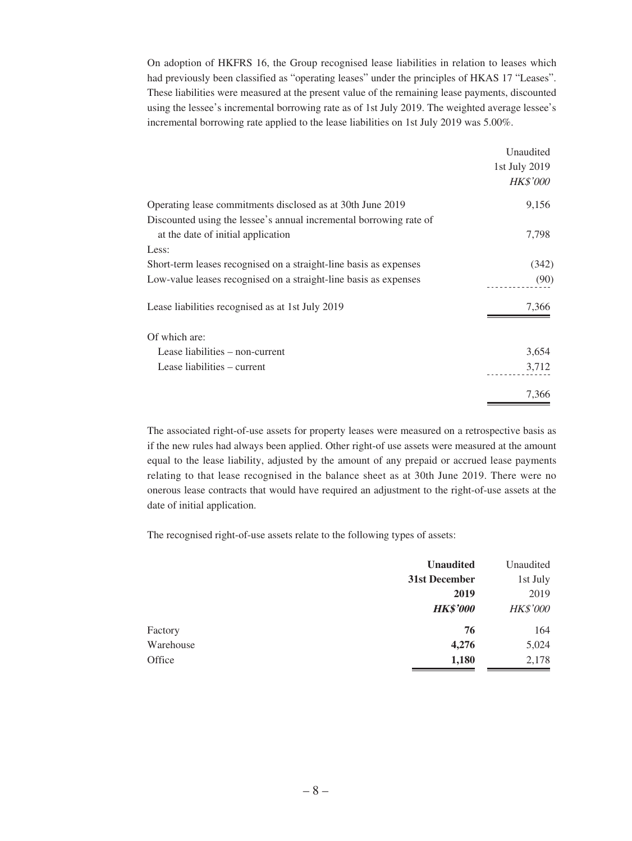On adoption of HKFRS 16, the Group recognised lease liabilities in relation to leases which had previously been classified as "operating leases" under the principles of HKAS 17 "Leases". These liabilities were measured at the present value of the remaining lease payments, discounted using the lessee's incremental borrowing rate as of 1st July 2019. The weighted average lessee's incremental borrowing rate applied to the lease liabilities on 1st July 2019 was 5.00%.

|                                                                    | Unaudited       |
|--------------------------------------------------------------------|-----------------|
|                                                                    | 1st July 2019   |
|                                                                    | <b>HK\$'000</b> |
| Operating lease commitments disclosed as at 30th June 2019         | 9,156           |
| Discounted using the lessee's annual incremental borrowing rate of |                 |
| at the date of initial application                                 | 7,798           |
| Less:                                                              |                 |
| Short-term leases recognised on a straight-line basis as expenses  | (342)           |
| Low-value leases recognised on a straight-line basis as expenses   | (90)            |
| Lease liabilities recognised as at 1st July 2019                   | 7,366           |
| Of which are:                                                      |                 |
| Lease liabilities – non-current                                    | 3,654           |
| Lease liabilities – current                                        | 3,712           |
|                                                                    | 7,366           |

The associated right-of-use assets for property leases were measured on a retrospective basis as if the new rules had always been applied. Other right-of use assets were measured at the amount equal to the lease liability, adjusted by the amount of any prepaid or accrued lease payments relating to that lease recognised in the balance sheet as at 30th June 2019. There were no onerous lease contracts that would have required an adjustment to the right-of-use assets at the date of initial application.

The recognised right-of-use assets relate to the following types of assets:

|           | <b>Unaudited</b> | Unaudited       |
|-----------|------------------|-----------------|
|           | 31st December    | 1st July        |
|           | 2019             | 2019            |
|           | <b>HK\$'000</b>  | <b>HK\$'000</b> |
| Factory   | 76               | 164             |
| Warehouse | 4,276            | 5,024           |
| Office    | 1,180            | 2,178           |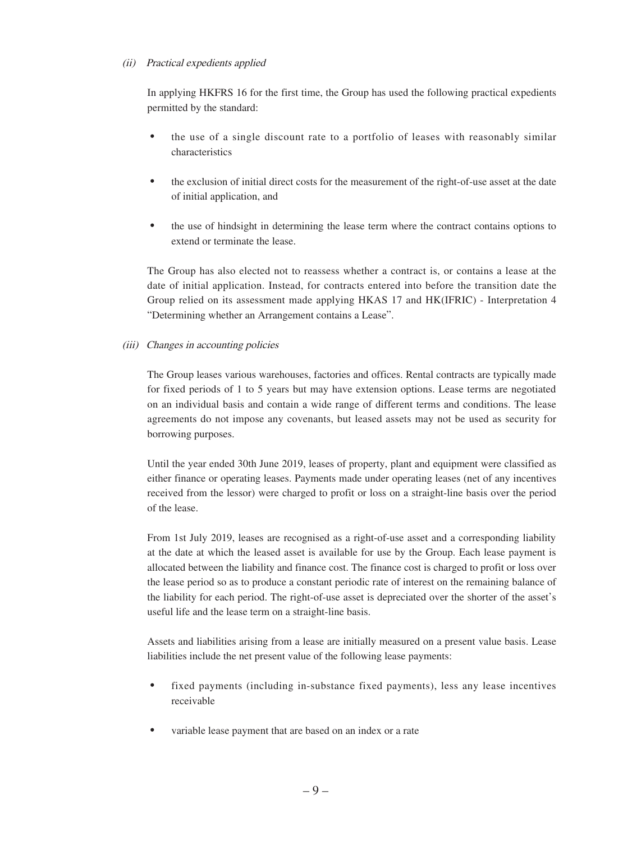#### (ii) Practical expedients applied

In applying HKFRS 16 for the first time, the Group has used the following practical expedients permitted by the standard:

- the use of a single discount rate to a portfolio of leases with reasonably similar characteristics
- the exclusion of initial direct costs for the measurement of the right-of-use asset at the date of initial application, and
- the use of hindsight in determining the lease term where the contract contains options to extend or terminate the lease.

The Group has also elected not to reassess whether a contract is, or contains a lease at the date of initial application. Instead, for contracts entered into before the transition date the Group relied on its assessment made applying HKAS 17 and HK(IFRIC) - Interpretation 4 "Determining whether an Arrangement contains a Lease".

#### (iii) Changes in accounting policies

The Group leases various warehouses, factories and offices. Rental contracts are typically made for fixed periods of 1 to 5 years but may have extension options. Lease terms are negotiated on an individual basis and contain a wide range of different terms and conditions. The lease agreements do not impose any covenants, but leased assets may not be used as security for borrowing purposes.

Until the year ended 30th June 2019, leases of property, plant and equipment were classified as either finance or operating leases. Payments made under operating leases (net of any incentives received from the lessor) were charged to profit or loss on a straight-line basis over the period of the lease.

From 1st July 2019, leases are recognised as a right-of-use asset and a corresponding liability at the date at which the leased asset is available for use by the Group. Each lease payment is allocated between the liability and finance cost. The finance cost is charged to profit or loss over the lease period so as to produce a constant periodic rate of interest on the remaining balance of the liability for each period. The right-of-use asset is depreciated over the shorter of the asset's useful life and the lease term on a straight-line basis.

Assets and liabilities arising from a lease are initially measured on a present value basis. Lease liabilities include the net present value of the following lease payments:

- fixed payments (including in-substance fixed payments), less any lease incentives receivable
- variable lease payment that are based on an index or a rate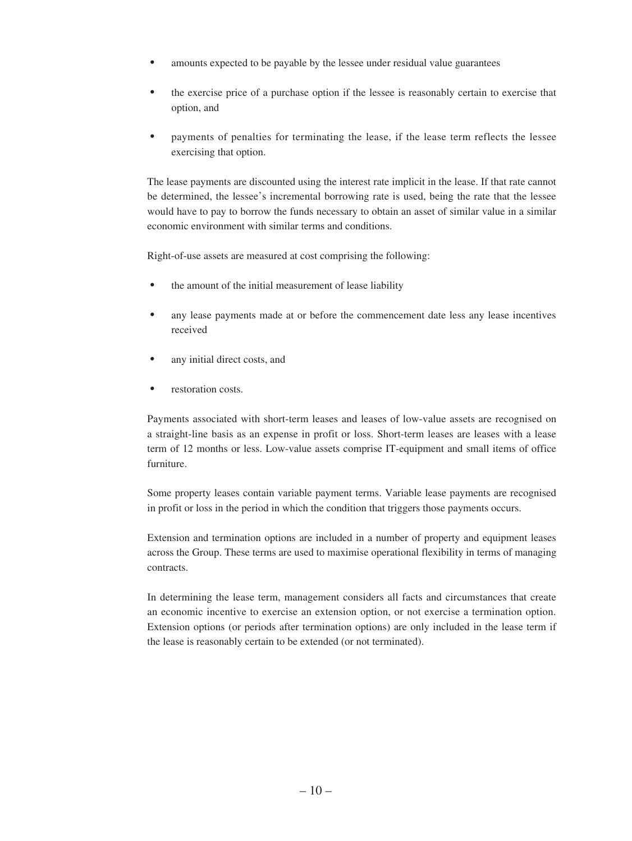- amounts expected to be payable by the lessee under residual value guarantees
- the exercise price of a purchase option if the lessee is reasonably certain to exercise that option, and
- payments of penalties for terminating the lease, if the lease term reflects the lessee exercising that option.

The lease payments are discounted using the interest rate implicit in the lease. If that rate cannot be determined, the lessee's incremental borrowing rate is used, being the rate that the lessee would have to pay to borrow the funds necessary to obtain an asset of similar value in a similar economic environment with similar terms and conditions.

Right-of-use assets are measured at cost comprising the following:

- the amount of the initial measurement of lease liability
- any lease payments made at or before the commencement date less any lease incentives received
- any initial direct costs, and
- restoration costs.

Payments associated with short-term leases and leases of low-value assets are recognised on a straight-line basis as an expense in profit or loss. Short-term leases are leases with a lease term of 12 months or less. Low-value assets comprise IT-equipment and small items of office furniture.

Some property leases contain variable payment terms. Variable lease payments are recognised in profit or loss in the period in which the condition that triggers those payments occurs.

Extension and termination options are included in a number of property and equipment leases across the Group. These terms are used to maximise operational flexibility in terms of managing contracts.

In determining the lease term, management considers all facts and circumstances that create an economic incentive to exercise an extension option, or not exercise a termination option. Extension options (or periods after termination options) are only included in the lease term if the lease is reasonably certain to be extended (or not terminated).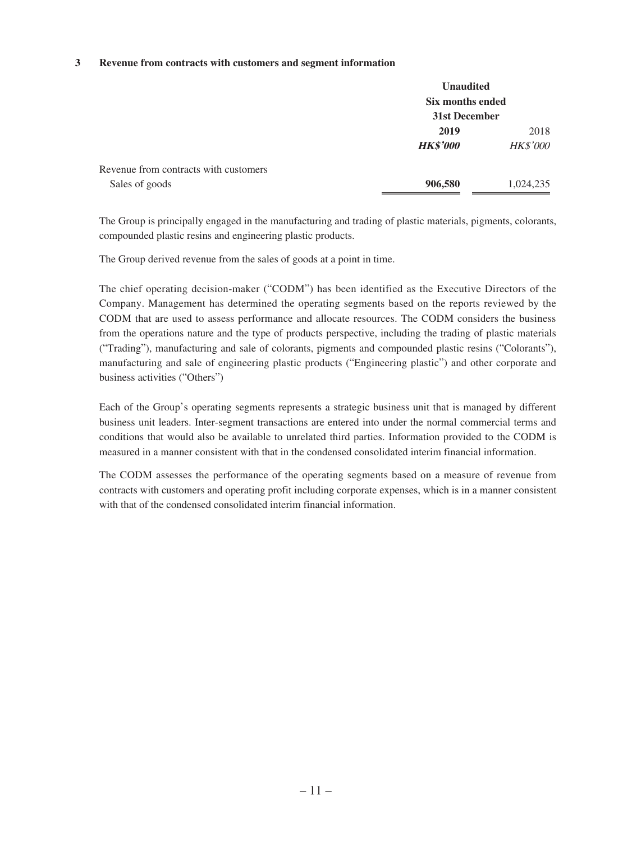#### **3 Revenue from contracts with customers and segment information**

|                                                         | <b>Unaudited</b><br>Six months ended<br>31st December |                         |  |
|---------------------------------------------------------|-------------------------------------------------------|-------------------------|--|
|                                                         | 2019<br><b>HK\$'000</b>                               | 2018<br><b>HK\$'000</b> |  |
| Revenue from contracts with customers<br>Sales of goods | 906,580                                               | 1,024,235               |  |

The Group is principally engaged in the manufacturing and trading of plastic materials, pigments, colorants, compounded plastic resins and engineering plastic products.

The Group derived revenue from the sales of goods at a point in time.

The chief operating decision-maker ("CODM") has been identified as the Executive Directors of the Company. Management has determined the operating segments based on the reports reviewed by the CODM that are used to assess performance and allocate resources. The CODM considers the business from the operations nature and the type of products perspective, including the trading of plastic materials ("Trading"), manufacturing and sale of colorants, pigments and compounded plastic resins ("Colorants"), manufacturing and sale of engineering plastic products ("Engineering plastic") and other corporate and business activities ("Others")

Each of the Group's operating segments represents a strategic business unit that is managed by different business unit leaders. Inter-segment transactions are entered into under the normal commercial terms and conditions that would also be available to unrelated third parties. Information provided to the CODM is measured in a manner consistent with that in the condensed consolidated interim financial information.

The CODM assesses the performance of the operating segments based on a measure of revenue from contracts with customers and operating profit including corporate expenses, which is in a manner consistent with that of the condensed consolidated interim financial information.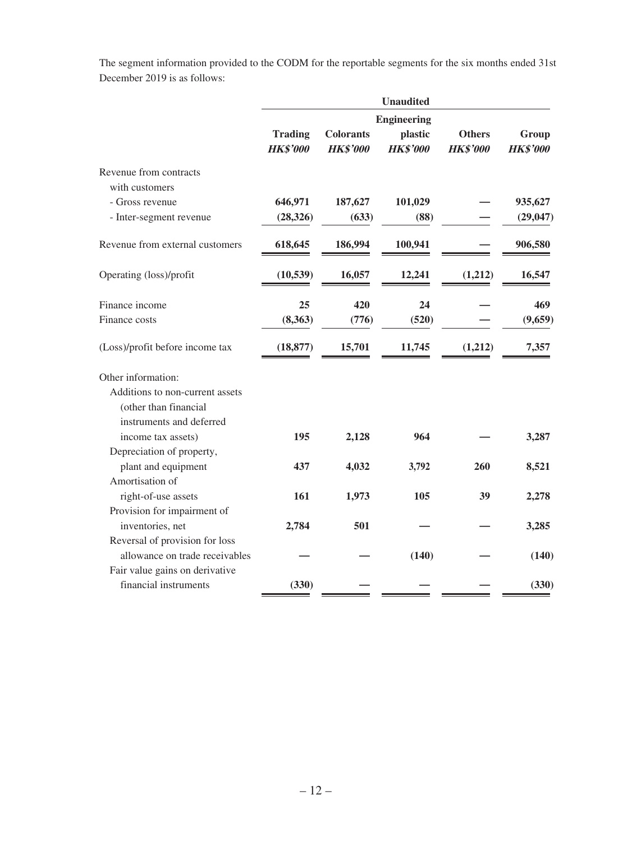The segment information provided to the CODM for the reportable segments for the six months ended 31st December 2019 is as follows:

|                                 | <b>Unaudited</b> |                  |                               |                 |                 |
|---------------------------------|------------------|------------------|-------------------------------|-----------------|-----------------|
|                                 | <b>Trading</b>   | <b>Colorants</b> | <b>Engineering</b><br>plastic | <b>Others</b>   | Group           |
|                                 | <b>HK\$'000</b>  | <b>HK\$'000</b>  | <b>HK\$'000</b>               | <b>HK\$'000</b> | <b>HK\$'000</b> |
| Revenue from contracts          |                  |                  |                               |                 |                 |
| with customers                  |                  |                  |                               |                 |                 |
| - Gross revenue                 | 646,971          | 187,627          | 101,029                       |                 | 935,627         |
| - Inter-segment revenue         | (28, 326)        | (633)            | (88)                          |                 | (29, 047)       |
| Revenue from external customers | 618,645          | 186,994          | 100,941                       |                 | 906,580         |
| Operating (loss)/profit         | (10, 539)        | 16,057           | 12,241                        | (1,212)         | 16,547          |
| Finance income                  | 25               | 420              | 24                            |                 | 469             |
| Finance costs                   | (8,363)          | (776)            | (520)                         |                 | (9,659)         |
| (Loss)/profit before income tax | (18, 877)        | 15,701           | 11,745                        | (1,212)         | 7,357           |
| Other information:              |                  |                  |                               |                 |                 |
| Additions to non-current assets |                  |                  |                               |                 |                 |
| (other than financial           |                  |                  |                               |                 |                 |
| instruments and deferred        |                  |                  |                               |                 |                 |
| income tax assets)              | 195              | 2,128            | 964                           |                 | 3,287           |
| Depreciation of property,       |                  |                  |                               |                 |                 |
| plant and equipment             | 437              | 4,032            | 3,792                         | 260             | 8,521           |
| Amortisation of                 |                  |                  |                               |                 |                 |
| right-of-use assets             | 161              | 1,973            | 105                           | 39              | 2,278           |
| Provision for impairment of     |                  |                  |                               |                 |                 |
| inventories, net                | 2,784            | 501              |                               |                 | 3,285           |
| Reversal of provision for loss  |                  |                  |                               |                 |                 |
| allowance on trade receivables  |                  |                  | (140)                         |                 | (140)           |
| Fair value gains on derivative  |                  |                  |                               |                 |                 |
| financial instruments           | (330)            |                  |                               |                 | (330)           |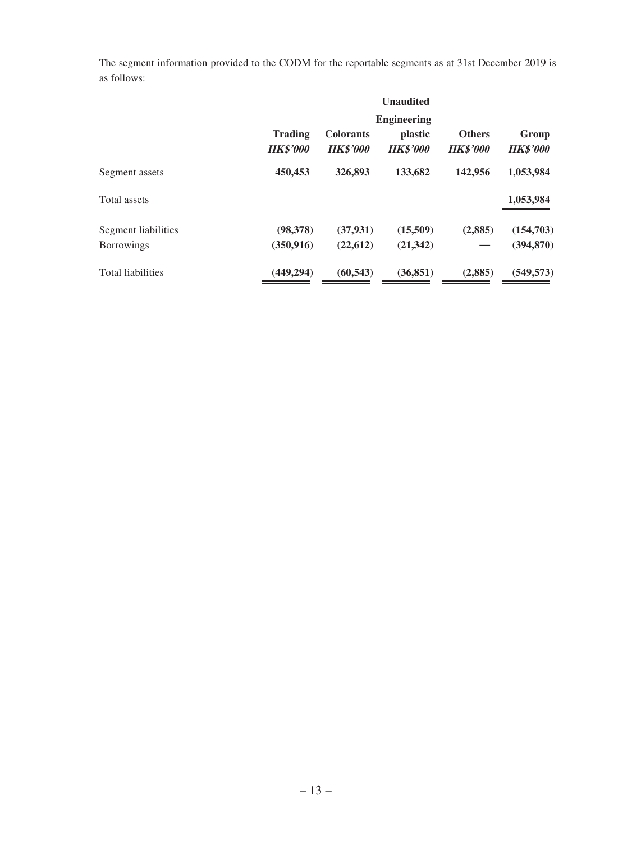The segment information provided to the CODM for the reportable segments as at 31st December 2019 is as follows:

|                                          | <b>Unaudited</b>                  |                                     |                                                         |                                  |                          |
|------------------------------------------|-----------------------------------|-------------------------------------|---------------------------------------------------------|----------------------------------|--------------------------|
|                                          | <b>Trading</b><br><b>HK\$'000</b> | <b>Colorants</b><br><b>HK\$'000</b> | <b>Engineering</b><br><i>plastic</i><br><b>HK\$'000</b> | <b>Others</b><br><b>HK\$'000</b> | Group<br><b>HK\$'000</b> |
| Segment assets                           | 450,453                           | 326,893                             | 133,682                                                 | 142,956                          | 1,053,984                |
| Total assets                             |                                   |                                     |                                                         |                                  | 1,053,984                |
| Segment liabilities<br><b>Borrowings</b> | (98, 378)<br>(350, 916)           | (37, 931)<br>(22, 612)              | (15,509)<br>(21, 342)                                   | (2,885)                          | (154,703)<br>(394, 870)  |
| <b>Total liabilities</b>                 | (449, 294)                        | (60, 543)                           | (36, 851)                                               | (2,885)                          | (549, 573)               |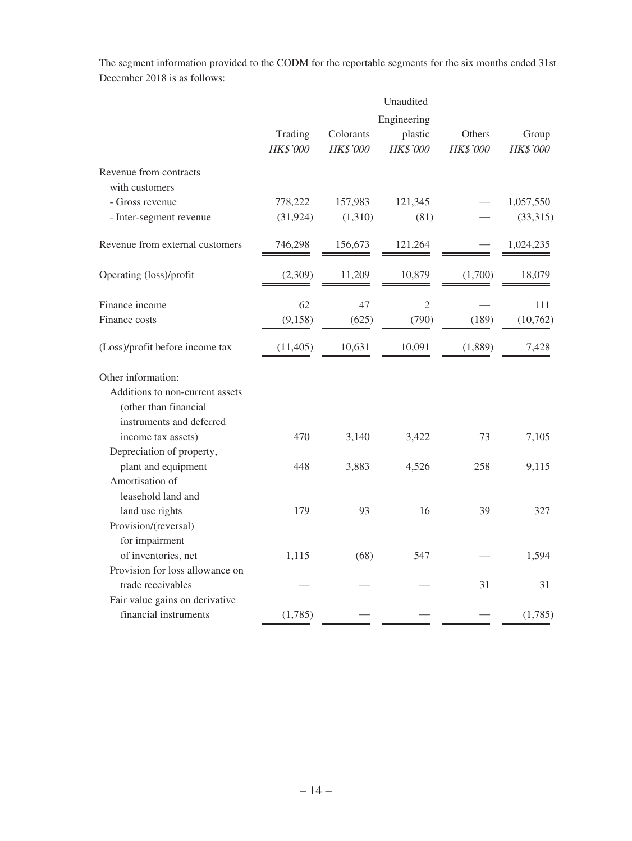The segment information provided to the CODM for the reportable segments for the six months ended 31st December 2018 is as follows:

| Unaudited   |           |                 |          |           |
|-------------|-----------|-----------------|----------|-----------|
| Engineering |           |                 |          |           |
| Trading     | Colorants | plastic         | Others   | Group     |
| HK\$'000    | HK\$'000  | <b>HK\$'000</b> | HK\$'000 | HK\$'000  |
|             |           |                 |          |           |
| 778,222     | 157,983   | 121,345         |          | 1,057,550 |
| (31, 924)   | (1,310)   | (81)            |          | (33,315)  |
| 746,298     | 156,673   | 121,264         |          | 1,024,235 |
| (2,309)     | 11,209    | 10,879          | (1,700)  | 18,079    |
| 62          | 47        | $\overline{2}$  |          | 111       |
| (9, 158)    | (625)     | (790)           | (189)    | (10, 762) |
| (11, 405)   | 10,631    | 10,091          | (1,889)  | 7,428     |
|             |           |                 |          |           |
|             |           |                 |          |           |
|             |           |                 |          |           |
|             |           |                 |          |           |
| 470         | 3,140     | 3,422           | 73       | 7,105     |
|             |           |                 |          |           |
| 448         | 3,883     | 4,526           | 258      | 9,115     |
|             |           |                 |          |           |
|             |           |                 |          |           |
| 179         | 93        | 16              | 39       | 327       |
|             |           |                 |          |           |
|             |           |                 |          |           |
| 1,115       | (68)      | 547             |          | 1,594     |
|             |           |                 |          |           |
|             |           |                 | 31       | 31        |
|             |           |                 |          |           |
| (1,785)     |           |                 |          | (1,785)   |
|             |           |                 |          |           |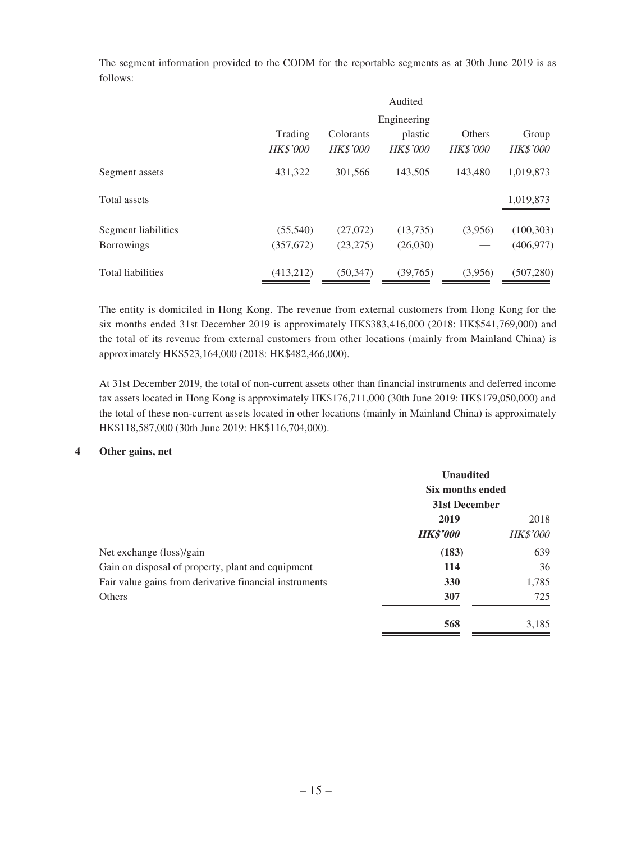follows: Audited Trading Colorants Engineering plastic Others Group HK\$'000 HK\$'000 HK\$'000 HK\$'000 HK\$'000

Segment assets 431,322 301,566 143,505 143,480 1,019,873

Total assets 1,019,873

Segment liabilities (55,540) (27,072) (13,735) (3,956) (100,303) Borrowings (357,672) (23,275) (26,030) — (406,977)

Total liabilities (413,212) (50,347) (39,765) (3,956) (507,280)

The segment information provided to the CODM for the reportable segments as at 30th June 2019 is as

| The entity is domiciled in Hong Kong. The revenue from external customers from Hong Kong for the      |
|-------------------------------------------------------------------------------------------------------|
| six months ended 31st December 2019 is approximately HK\$383,416,000 (2018: HK\$541,769,000) and      |
| the total of its revenue from external customers from other locations (mainly from Mainland China) is |
| approximately HK\$523,164,000 (2018: HK\$482,466,000).                                                |

At 31st December 2019, the total of non-current assets other than financial instruments and deferred income tax assets located in Hong Kong is approximately HK\$176,711,000 (30th June 2019: HK\$179,050,000) and the total of these non-current assets located in other locations (mainly in Mainland China) is approximately HK\$118,587,000 (30th June 2019: HK\$116,704,000).

#### **4 Other gains, net**

|                                                        | <b>Unaudited</b><br>Six months ended<br>31st December |                 |
|--------------------------------------------------------|-------------------------------------------------------|-----------------|
|                                                        |                                                       |                 |
|                                                        |                                                       |                 |
|                                                        | 2019                                                  | 2018            |
|                                                        | <b>HK\$'000</b>                                       | <b>HK\$'000</b> |
| Net exchange (loss)/gain                               | (183)                                                 | 639             |
| Gain on disposal of property, plant and equipment      | 114                                                   | 36              |
| Fair value gains from derivative financial instruments | 330                                                   | 1,785           |
| <b>Others</b>                                          | 307                                                   | 725             |
|                                                        | 568                                                   | 3,185           |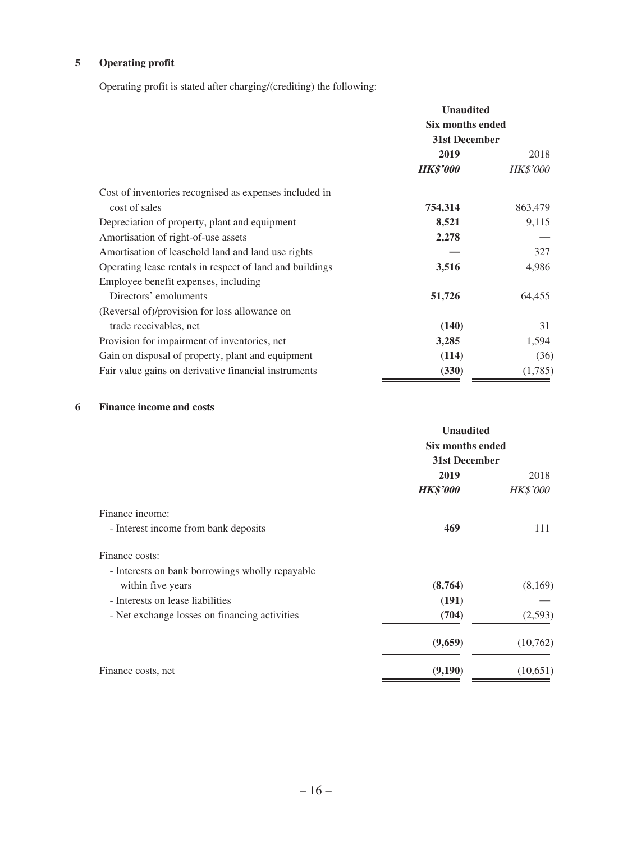### **5 Operating profit**

Operating profit is stated after charging/(crediting) the following:

|                                                          | <b>Unaudited</b><br>Six months ended<br>31st December |                 |
|----------------------------------------------------------|-------------------------------------------------------|-----------------|
|                                                          |                                                       |                 |
|                                                          |                                                       |                 |
|                                                          | 2019                                                  | 2018            |
|                                                          | <b>HK\$'000</b>                                       | <i>HK\$'000</i> |
| Cost of inventories recognised as expenses included in   |                                                       |                 |
| cost of sales                                            | 754,314                                               | 863,479         |
| Depreciation of property, plant and equipment            | 8,521                                                 | 9,115           |
| Amortisation of right-of-use assets                      | 2,278                                                 |                 |
| Amortisation of leasehold land and land use rights       |                                                       | 327             |
| Operating lease rentals in respect of land and buildings | 3,516                                                 | 4,986           |
| Employee benefit expenses, including                     |                                                       |                 |
| Directors' emoluments                                    | 51,726                                                | 64,455          |
| (Reversal of)/provision for loss allowance on            |                                                       |                 |
| trade receivables, net                                   | (140)                                                 | 31              |
| Provision for impairment of inventories, net             | 3,285                                                 | 1,594           |
| Gain on disposal of property, plant and equipment        | (114)                                                 | (36)            |
| Fair value gains on derivative financial instruments     | (330)                                                 | (1,785)         |

### **6 Finance income and costs**

|                                                 | <b>Unaudited</b><br><b>Six months ended</b><br>31st December<br>2019<br>2018 |                 |
|-------------------------------------------------|------------------------------------------------------------------------------|-----------------|
|                                                 | <b>HK\$'000</b>                                                              | <b>HK\$'000</b> |
| Finance income:                                 |                                                                              |                 |
| - Interest income from bank deposits            | 469                                                                          | 111             |
| Finance costs:                                  |                                                                              |                 |
| - Interests on bank borrowings wholly repayable |                                                                              |                 |
| within five years                               | (8,764)                                                                      | (8,169)         |
| - Interests on lease liabilities                | (191)                                                                        |                 |
| - Net exchange losses on financing activities   | (704)                                                                        | (2,593)         |
|                                                 | (9,659)                                                                      | (10,762)        |
| Finance costs, net                              | (9,190)                                                                      | (10,651)        |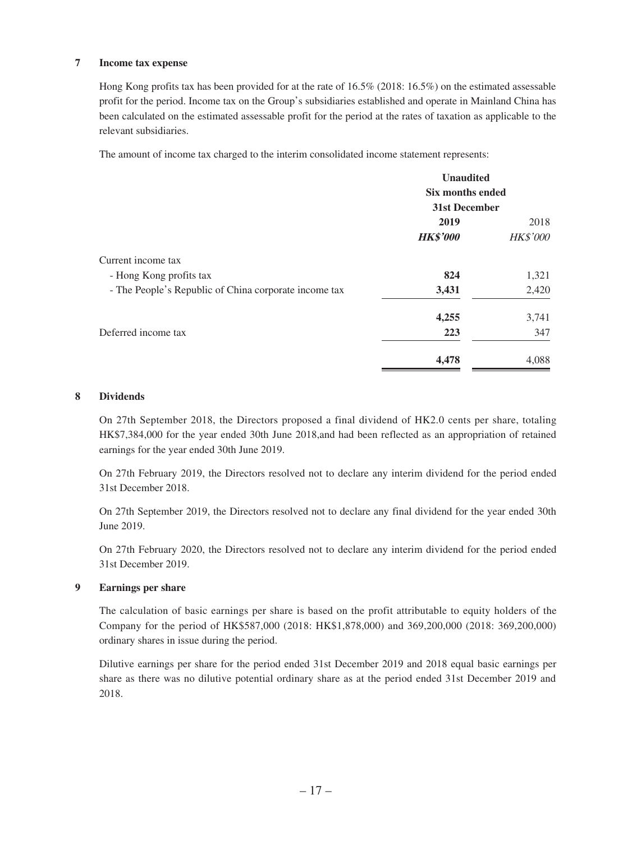#### **7 Income tax expense**

Hong Kong profits tax has been provided for at the rate of 16.5% (2018: 16.5%) on the estimated assessable profit for the period. Income tax on the Group's subsidiaries established and operate in Mainland China has been calculated on the estimated assessable profit for the period at the rates of taxation as applicable to the relevant subsidiaries.

The amount of income tax charged to the interim consolidated income statement represents:

|                                                       | <b>Unaudited</b><br><b>Six months ended</b><br>31st December |                 |
|-------------------------------------------------------|--------------------------------------------------------------|-----------------|
|                                                       |                                                              |                 |
|                                                       |                                                              |                 |
|                                                       | 2019                                                         | 2018            |
|                                                       | <b>HK\$'000</b>                                              | <b>HK\$'000</b> |
| Current income tax                                    |                                                              |                 |
| - Hong Kong profits tax                               | 824                                                          | 1,321           |
| - The People's Republic of China corporate income tax | 3,431                                                        | 2,420           |
|                                                       | 4,255                                                        | 3,741           |
| Deferred income tax                                   | 223                                                          | 347             |
|                                                       | 4,478                                                        | 4,088           |

#### **8 Dividends**

On 27th September 2018, the Directors proposed a final dividend of HK2.0 cents per share, totaling HK\$7,384,000 for the year ended 30th June 2018,and had been reflected as an appropriation of retained earnings for the year ended 30th June 2019.

On 27th February 2019, the Directors resolved not to declare any interim dividend for the period ended 31st December 2018.

On 27th September 2019, the Directors resolved not to declare any final dividend for the year ended 30th June 2019.

On 27th February 2020, the Directors resolved not to declare any interim dividend for the period ended 31st December 2019.

#### **9 Earnings per share**

The calculation of basic earnings per share is based on the profit attributable to equity holders of the Company for the period of HK\$587,000 (2018: HK\$1,878,000) and 369,200,000 (2018: 369,200,000) ordinary shares in issue during the period.

Dilutive earnings per share for the period ended 31st December 2019 and 2018 equal basic earnings per share as there was no dilutive potential ordinary share as at the period ended 31st December 2019 and 2018.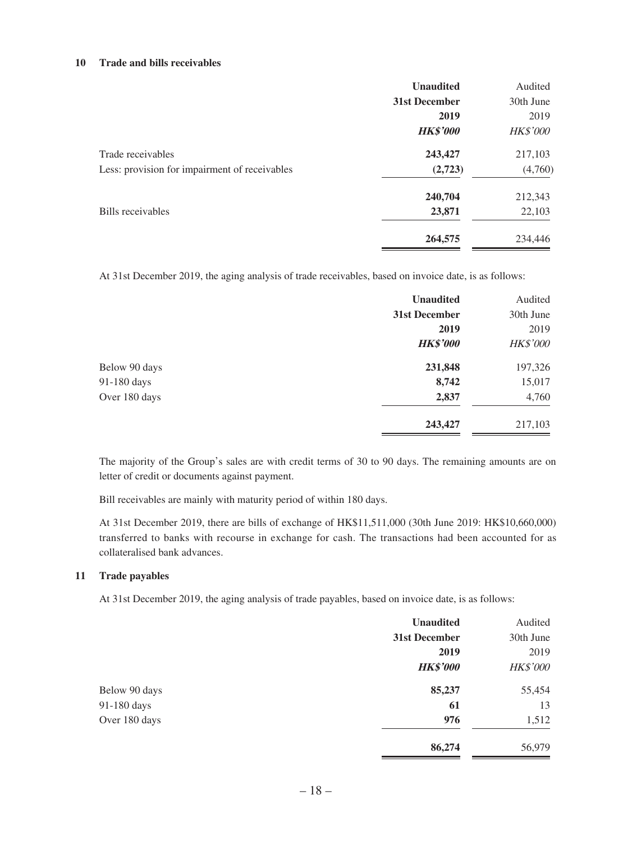#### **10 Trade and bills receivables**

|                                               | <b>Unaudited</b> | Audited         |
|-----------------------------------------------|------------------|-----------------|
|                                               | 31st December    | 30th June       |
|                                               | 2019             | 2019            |
|                                               | <b>HK\$'000</b>  | <b>HK\$'000</b> |
| Trade receivables                             | 243,427          | 217,103         |
| Less: provision for impairment of receivables | (2,723)          | (4,760)         |
|                                               | 240,704          | 212,343         |
| Bills receivables                             | 23,871           | 22,103          |
|                                               | 264,575          | 234,446         |

At 31st December 2019, the aging analysis of trade receivables, based on invoice date, is as follows:

|               | <b>Unaudited</b> | Audited         |
|---------------|------------------|-----------------|
|               | 31st December    | 30th June       |
|               | 2019             | 2019            |
|               | <b>HK\$'000</b>  | <b>HK\$'000</b> |
| Below 90 days | 231,848          | 197,326         |
| 91-180 days   | 8,742            | 15,017          |
| Over 180 days | 2,837            | 4,760           |
|               | 243,427          | 217,103         |

The majority of the Group's sales are with credit terms of 30 to 90 days. The remaining amounts are on letter of credit or documents against payment.

Bill receivables are mainly with maturity period of within 180 days.

At 31st December 2019, there are bills of exchange of HK\$11,511,000 (30th June 2019: HK\$10,660,000) transferred to banks with recourse in exchange for cash. The transactions had been accounted for as collateralised bank advances.

#### **11 Trade payables**

At 31st December 2019, the aging analysis of trade payables, based on invoice date, is as follows:

|               | <b>Unaudited</b> | Audited         |
|---------------|------------------|-----------------|
|               | 31st December    | 30th June       |
|               | 2019             | 2019            |
|               | <b>HK\$'000</b>  | <b>HK\$'000</b> |
| Below 90 days | 85,237           | 55,454          |
| 91-180 days   | 61               | 13              |
| Over 180 days | 976              | 1,512           |
|               | 86,274           | 56,979          |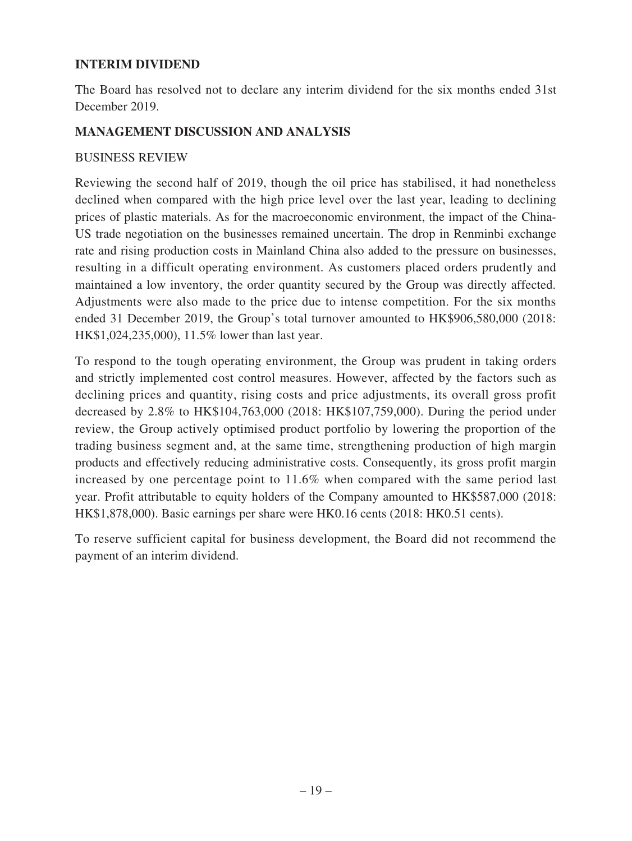### **INTERIM DIVIDEND**

The Board has resolved not to declare any interim dividend for the six months ended 31st December 2019.

### **MANAGEMENT DISCUSSION AND ANALYSIS**

### BUSINESS REVIEW

Reviewing the second half of 2019, though the oil price has stabilised, it had nonetheless declined when compared with the high price level over the last year, leading to declining prices of plastic materials. As for the macroeconomic environment, the impact of the China-US trade negotiation on the businesses remained uncertain. The drop in Renminbi exchange rate and rising production costs in Mainland China also added to the pressure on businesses, resulting in a difficult operating environment. As customers placed orders prudently and maintained a low inventory, the order quantity secured by the Group was directly affected. Adjustments were also made to the price due to intense competition. For the six months ended 31 December 2019, the Group's total turnover amounted to HK\$906,580,000 (2018: HK\$1,024,235,000), 11.5% lower than last year.

To respond to the tough operating environment, the Group was prudent in taking orders and strictly implemented cost control measures. However, affected by the factors such as declining prices and quantity, rising costs and price adjustments, its overall gross profit decreased by 2.8% to HK\$104,763,000 (2018: HK\$107,759,000). During the period under review, the Group actively optimised product portfolio by lowering the proportion of the trading business segment and, at the same time, strengthening production of high margin products and effectively reducing administrative costs. Consequently, its gross profit margin increased by one percentage point to 11.6% when compared with the same period last year. Profit attributable to equity holders of the Company amounted to HK\$587,000 (2018: HK\$1,878,000). Basic earnings per share were HK0.16 cents (2018: HK0.51 cents).

To reserve sufficient capital for business development, the Board did not recommend the payment of an interim dividend.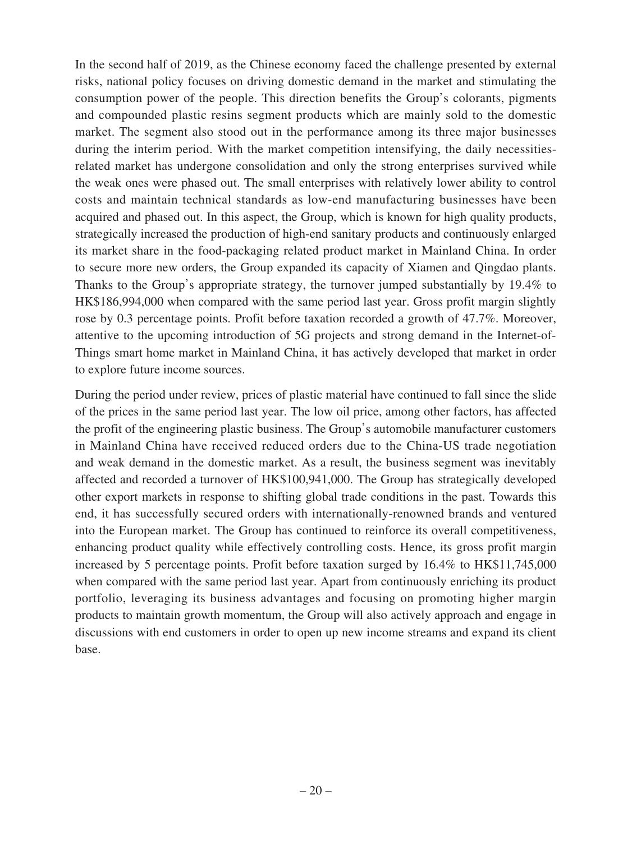In the second half of 2019, as the Chinese economy faced the challenge presented by external risks, national policy focuses on driving domestic demand in the market and stimulating the consumption power of the people. This direction benefits the Group's colorants, pigments and compounded plastic resins segment products which are mainly sold to the domestic market. The segment also stood out in the performance among its three major businesses during the interim period. With the market competition intensifying, the daily necessitiesrelated market has undergone consolidation and only the strong enterprises survived while the weak ones were phased out. The small enterprises with relatively lower ability to control costs and maintain technical standards as low-end manufacturing businesses have been acquired and phased out. In this aspect, the Group, which is known for high quality products, strategically increased the production of high-end sanitary products and continuously enlarged its market share in the food-packaging related product market in Mainland China. In order to secure more new orders, the Group expanded its capacity of Xiamen and Qingdao plants. Thanks to the Group's appropriate strategy, the turnover jumped substantially by 19.4% to HK\$186,994,000 when compared with the same period last year. Gross profit margin slightly rose by 0.3 percentage points. Profit before taxation recorded a growth of 47.7%. Moreover, attentive to the upcoming introduction of 5G projects and strong demand in the Internet-of-Things smart home market in Mainland China, it has actively developed that market in order to explore future income sources.

During the period under review, prices of plastic material have continued to fall since the slide of the prices in the same period last year. The low oil price, among other factors, has affected the profit of the engineering plastic business. The Group's automobile manufacturer customers in Mainland China have received reduced orders due to the China-US trade negotiation and weak demand in the domestic market. As a result, the business segment was inevitably affected and recorded a turnover of HK\$100,941,000. The Group has strategically developed other export markets in response to shifting global trade conditions in the past. Towards this end, it has successfully secured orders with internationally-renowned brands and ventured into the European market. The Group has continued to reinforce its overall competitiveness, enhancing product quality while effectively controlling costs. Hence, its gross profit margin increased by 5 percentage points. Profit before taxation surged by 16.4% to HK\$11,745,000 when compared with the same period last year. Apart from continuously enriching its product portfolio, leveraging its business advantages and focusing on promoting higher margin products to maintain growth momentum, the Group will also actively approach and engage in discussions with end customers in order to open up new income streams and expand its client base.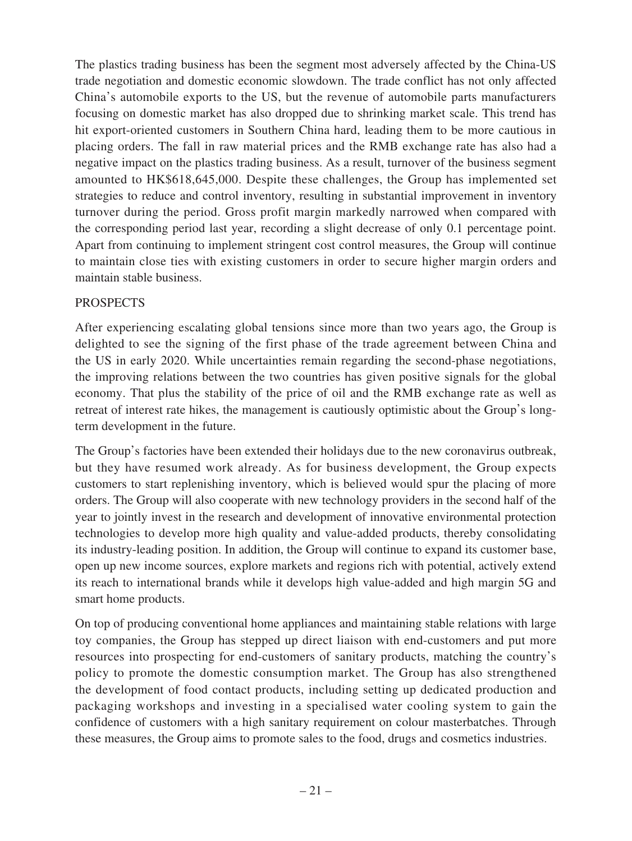The plastics trading business has been the segment most adversely affected by the China-US trade negotiation and domestic economic slowdown. The trade conflict has not only affected China's automobile exports to the US, but the revenue of automobile parts manufacturers focusing on domestic market has also dropped due to shrinking market scale. This trend has hit export-oriented customers in Southern China hard, leading them to be more cautious in placing orders. The fall in raw material prices and the RMB exchange rate has also had a negative impact on the plastics trading business. As a result, turnover of the business segment amounted to HK\$618,645,000. Despite these challenges, the Group has implemented set strategies to reduce and control inventory, resulting in substantial improvement in inventory turnover during the period. Gross profit margin markedly narrowed when compared with the corresponding period last year, recording a slight decrease of only 0.1 percentage point. Apart from continuing to implement stringent cost control measures, the Group will continue to maintain close ties with existing customers in order to secure higher margin orders and maintain stable business.

### **PROSPECTS**

After experiencing escalating global tensions since more than two years ago, the Group is delighted to see the signing of the first phase of the trade agreement between China and the US in early 2020. While uncertainties remain regarding the second-phase negotiations, the improving relations between the two countries has given positive signals for the global economy. That plus the stability of the price of oil and the RMB exchange rate as well as retreat of interest rate hikes, the management is cautiously optimistic about the Group's longterm development in the future.

The Group's factories have been extended their holidays due to the new coronavirus outbreak, but they have resumed work already. As for business development, the Group expects customers to start replenishing inventory, which is believed would spur the placing of more orders. The Group will also cooperate with new technology providers in the second half of the year to jointly invest in the research and development of innovative environmental protection technologies to develop more high quality and value-added products, thereby consolidating its industry-leading position. In addition, the Group will continue to expand its customer base, open up new income sources, explore markets and regions rich with potential, actively extend its reach to international brands while it develops high value-added and high margin 5G and smart home products.

On top of producing conventional home appliances and maintaining stable relations with large toy companies, the Group has stepped up direct liaison with end-customers and put more resources into prospecting for end-customers of sanitary products, matching the country's policy to promote the domestic consumption market. The Group has also strengthened the development of food contact products, including setting up dedicated production and packaging workshops and investing in a specialised water cooling system to gain the confidence of customers with a high sanitary requirement on colour masterbatches. Through these measures, the Group aims to promote sales to the food, drugs and cosmetics industries.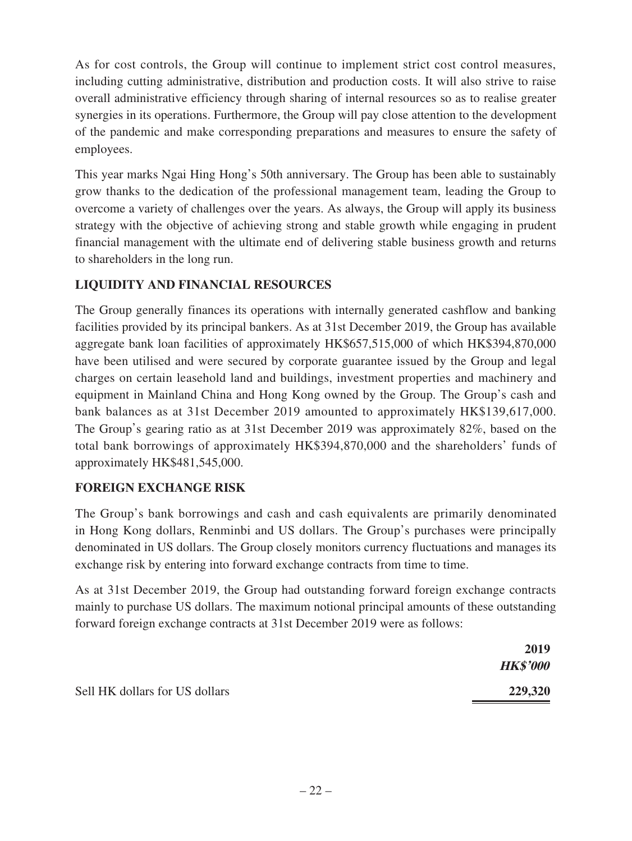As for cost controls, the Group will continue to implement strict cost control measures, including cutting administrative, distribution and production costs. It will also strive to raise overall administrative efficiency through sharing of internal resources so as to realise greater synergies in its operations. Furthermore, the Group will pay close attention to the development of the pandemic and make corresponding preparations and measures to ensure the safety of employees.

This year marks Ngai Hing Hong's 50th anniversary. The Group has been able to sustainably grow thanks to the dedication of the professional management team, leading the Group to overcome a variety of challenges over the years. As always, the Group will apply its business strategy with the objective of achieving strong and stable growth while engaging in prudent financial management with the ultimate end of delivering stable business growth and returns to shareholders in the long run.

# **LIQUIDITY AND FINANCIAL RESOURCES**

The Group generally finances its operations with internally generated cashflow and banking facilities provided by its principal bankers. As at 31st December 2019, the Group has available aggregate bank loan facilities of approximately HK\$657,515,000 of which HK\$394,870,000 have been utilised and were secured by corporate guarantee issued by the Group and legal charges on certain leasehold land and buildings, investment properties and machinery and equipment in Mainland China and Hong Kong owned by the Group. The Group's cash and bank balances as at 31st December 2019 amounted to approximately HK\$139,617,000. The Group's gearing ratio as at 31st December 2019 was approximately 82%, based on the total bank borrowings of approximately HK\$394,870,000 and the shareholders' funds of approximately HK\$481,545,000.

### **FOREIGN EXCHANGE RISK**

The Group's bank borrowings and cash and cash equivalents are primarily denominated in Hong Kong dollars, Renminbi and US dollars. The Group's purchases were principally denominated in US dollars. The Group closely monitors currency fluctuations and manages its exchange risk by entering into forward exchange contracts from time to time.

As at 31st December 2019, the Group had outstanding forward foreign exchange contracts mainly to purchase US dollars. The maximum notional principal amounts of these outstanding forward foreign exchange contracts at 31st December 2019 were as follows:

|                                | 2019            |
|--------------------------------|-----------------|
|                                | <b>HK\$'000</b> |
| Sell HK dollars for US dollars | 229,320         |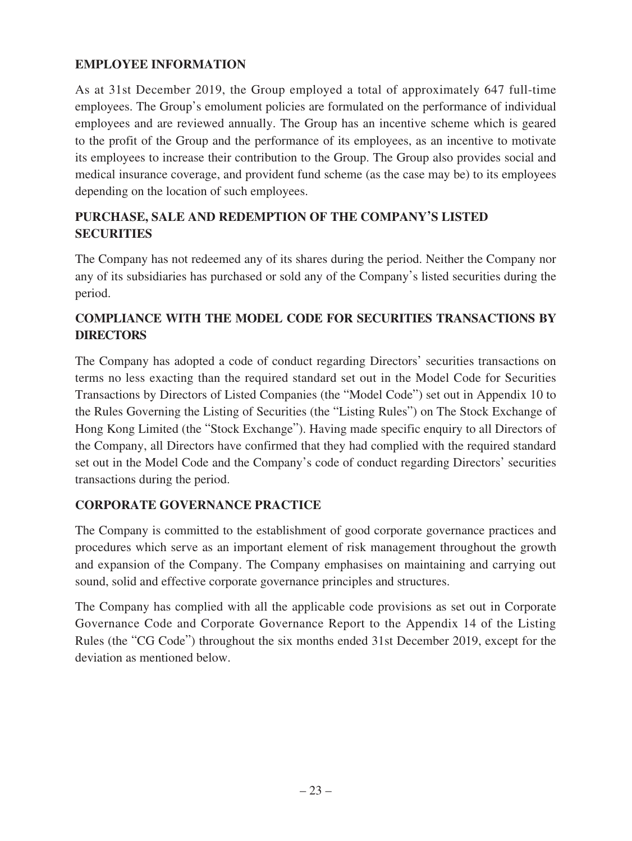# **EMPLOYEE INFORMATION**

As at 31st December 2019, the Group employed a total of approximately 647 full-time employees. The Group's emolument policies are formulated on the performance of individual employees and are reviewed annually. The Group has an incentive scheme which is geared to the profit of the Group and the performance of its employees, as an incentive to motivate its employees to increase their contribution to the Group. The Group also provides social and medical insurance coverage, and provident fund scheme (as the case may be) to its employees depending on the location of such employees.

# **PURCHASE, SALE AND REDEMPTION OF THE COMPANY'S LISTED SECURITIES**

The Company has not redeemed any of its shares during the period. Neither the Company nor any of its subsidiaries has purchased or sold any of the Company's listed securities during the period.

# **COMPLIANCE WITH THE MODEL CODE FOR SECURITIES TRANSACTIONS BY DIRECTORS**

The Company has adopted a code of conduct regarding Directors' securities transactions on terms no less exacting than the required standard set out in the Model Code for Securities Transactions by Directors of Listed Companies (the "Model Code") set out in Appendix 10 to the Rules Governing the Listing of Securities (the "Listing Rules") on The Stock Exchange of Hong Kong Limited (the "Stock Exchange"). Having made specific enquiry to all Directors of the Company, all Directors have confirmed that they had complied with the required standard set out in the Model Code and the Company's code of conduct regarding Directors' securities transactions during the period.

# **CORPORATE GOVERNANCE PRACTICE**

The Company is committed to the establishment of good corporate governance practices and procedures which serve as an important element of risk management throughout the growth and expansion of the Company. The Company emphasises on maintaining and carrying out sound, solid and effective corporate governance principles and structures.

The Company has complied with all the applicable code provisions as set out in Corporate Governance Code and Corporate Governance Report to the Appendix 14 of the Listing Rules (the "CG Code") throughout the six months ended 31st December 2019, except for the deviation as mentioned below.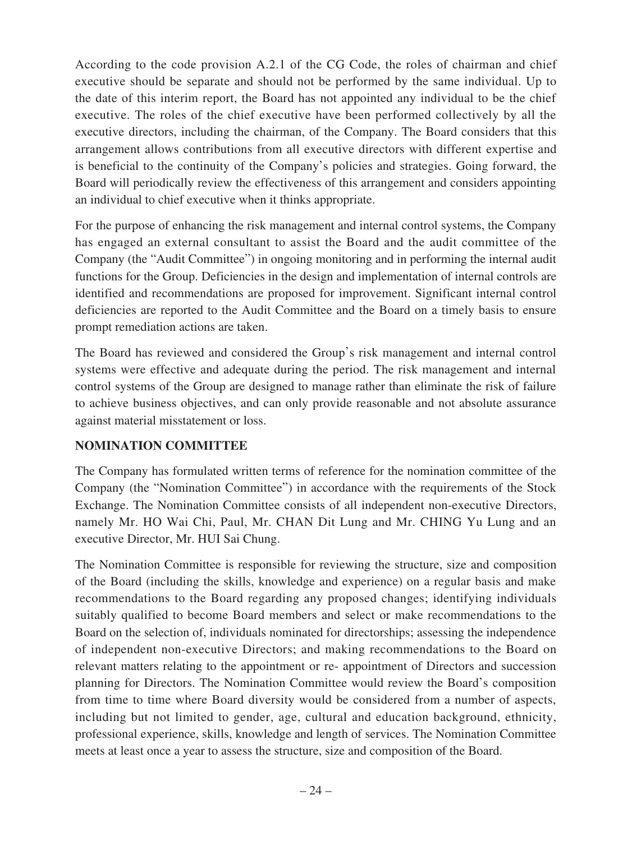According to the code provision A.2.1 of the CG Code, the roles of chairman and chief executive should be separate and should not be performed by the same individual. Up to the date of this interim report, the Board has not appointed any individual to be the chief executive. The roles of the chief executive have been performed collectively by all the executive directors, including the chairman, of the Company. The Board considers that this arrangement allows contributions from all executive directors with different expertise and is beneficial to the continuity of the Company's policies and strategies. Going forward, the Board will periodically review the effectiveness of this arrangement and considers appointing an individual to chief executive when it thinks appropriate.

For the purpose of enhancing the risk management and internal control systems, the Company has engaged an external consultant to assist the Board and the audit committee of the Company (the "Audit Committee") in ongoing monitoring and in performing the internal audit functions for the Group. Deficiencies in the design and implementation of internal controls are identified and recommendations are proposed for improvement. Significant internal control deficiencies are reported to the Audit Committee and the Board on a timely basis to ensure prompt remediation actions are taken.

The Board has reviewed and considered the Group's risk management and internal control systems were effective and adequate during the period. The risk management and internal control systems of the Group are designed to manage rather than eliminate the risk of failure to achieve business objectives, and can only provide reasonable and not absolute assurance against material misstatement or loss.

### **NOMINATION COMMITTEE**

The Company has formulated written terms of reference for the nomination committee of the Company (the "Nomination Committee") in accordance with the requirements of the Stock Exchange. The Nomination Committee consists of all independent non-executive Directors, namely Mr. HO Wai Chi, Paul, Mr. CHAN Dit Lung and Mr. CHING Yu Lung and an executive Director, Mr. HUI Sai Chung.

The Nomination Committee is responsible for reviewing the structure, size and composition of the Board (including the skills, knowledge and experience) on a regular basis and make recommendations to the Board regarding any proposed changes; identifying individuals suitably qualified to become Board members and select or make recommendations to the Board on the selection of, individuals nominated for directorships; assessing the independence of independent non-executive Directors; and making recommendations to the Board on relevant matters relating to the appointment or re- appointment of Directors and succession planning for Directors. The Nomination Committee would review the Board's composition from time to time where Board diversity would be considered from a number of aspects, including but not limited to gender, age, cultural and education background, ethnicity, professional experience, skills, knowledge and length of services. The Nomination Committee meets at least once a year to assess the structure, size and composition of the Board.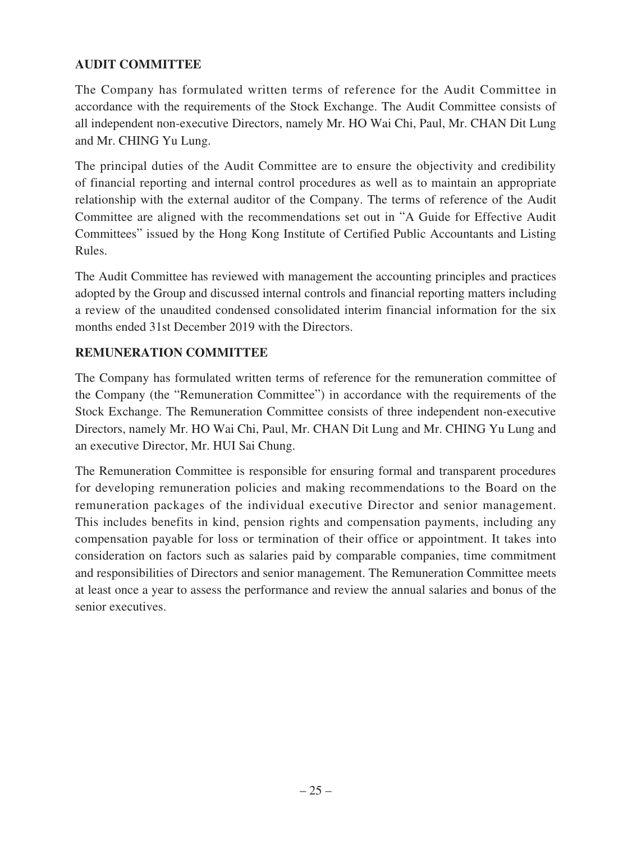## **AUDIT COMMITTEE**

The Company has formulated written terms of reference for the Audit Committee in accordance with the requirements of the Stock Exchange. The Audit Committee consists of all independent non-executive Directors, namely Mr. HO Wai Chi, Paul, Mr. CHAN Dit Lung and Mr. CHING Yu Lung.

The principal duties of the Audit Committee are to ensure the objectivity and credibility of financial reporting and internal control procedures as well as to maintain an appropriate relationship with the external auditor of the Company. The terms of reference of the Audit Committee are aligned with the recommendations set out in "A Guide for Effective Audit Committees" issued by the Hong Kong Institute of Certified Public Accountants and Listing Rules.

The Audit Committee has reviewed with management the accounting principles and practices adopted by the Group and discussed internal controls and financial reporting matters including a review of the unaudited condensed consolidated interim financial information for the six months ended 31st December 2019 with the Directors.

# **REMUNERATION COMMITTEE**

The Company has formulated written terms of reference for the remuneration committee of the Company (the "Remuneration Committee") in accordance with the requirements of the Stock Exchange. The Remuneration Committee consists of three independent non-executive Directors, namely Mr. HO Wai Chi, Paul, Mr. CHAN Dit Lung and Mr. CHING Yu Lung and an executive Director, Mr. HUI Sai Chung.

The Remuneration Committee is responsible for ensuring formal and transparent procedures for developing remuneration policies and making recommendations to the Board on the remuneration packages of the individual executive Director and senior management. This includes benefits in kind, pension rights and compensation payments, including any compensation payable for loss or termination of their office or appointment. It takes into consideration on factors such as salaries paid by comparable companies, time commitment and responsibilities of Directors and senior management. The Remuneration Committee meets at least once a year to assess the performance and review the annual salaries and bonus of the senior executives.